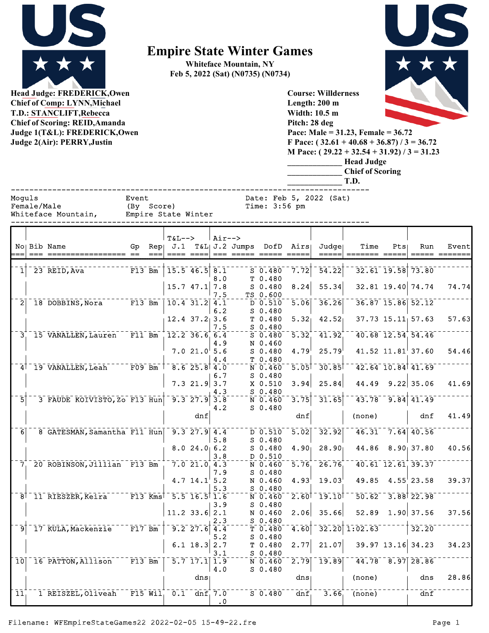

**Head Judge: FREDERICK,Owen Chief of Comp: LYNN,Michael T.D.: STANCLIFT,Rebecca Chief of Scoring: REID,Amanda Judge 1(T&L): FREDERICK,Owen**  **Empire State Winter Games**

**Whiteface Mountain, NY Feb 5, 2022 (Sat) (N0735) (N0734)**



**Judge 2(Air): PERRY,Justin**

**Pitch: 28 deg Pace: Male = 31.23, Female = 36.72 F Pace: ( 32.61 + 40.68 + 36.87) / 3 = 36.72 M Pace: ( 29.22 + 32.54 + 31.92) / 3 = 31.23 \_\_\_\_\_\_\_\_\_\_\_\_\_ Head Judge**

| <b>read sudge</b>       |
|-------------------------|
| <b>Chief of Scoring</b> |
| T.D.                    |

**Course: Willderness Length: 200 m Width: 10.5 m**

------------------------------------------------------------------------------ Moguls **Event** Event Date: Feb 5, 2022 (Sat)

Empire State Winter

Female/Male (By Score) Time: 3:56 pm<br>Whiteface Mountain, Empire State Winter

|                 |                                                                         |                       | $T&L-->$        |                                                     | $Air--$    |                                   |                     |                         |                 |     |                                                          |       |
|-----------------|-------------------------------------------------------------------------|-----------------------|-----------------|-----------------------------------------------------|------------|-----------------------------------|---------------------|-------------------------|-----------------|-----|----------------------------------------------------------|-------|
|                 | No Bib Name                                                             | Gp                    |                 |                                                     |            | Rep  J.1 T&L  J.2 Jumps DofD Airs |                     | Judge                   | Time            | Pts | Run                                                      | Event |
|                 |                                                                         |                       |                 |                                                     | $==  =  =$ |                                   |                     |                         |                 |     |                                                          |       |
|                 |                                                                         |                       |                 |                                                     |            |                                   |                     |                         |                 |     |                                                          |       |
|                 | 23 REID, Ava                                                            | $F13$ Bm              |                 | $15.5$ $46.5$ $8.1$                                 |            | $S$ 0.480                         | 7.72                | 54.22                   |                 |     | 32.61 19.58 73.80                                        |       |
|                 |                                                                         |                       |                 |                                                     | 8.0        | T 0.480                           |                     |                         |                 |     |                                                          |       |
|                 |                                                                         |                       |                 | $15.7$ $47.1$ 7.8                                   |            | $S$ 0.480                         | 8.24                | 55.34                   |                 |     | 32.81 19.40 74.74                                        | 74.74 |
|                 |                                                                         |                       |                 |                                                     | 7.5        | TS 0.600                          |                     |                         |                 |     |                                                          |       |
|                 | $2$ <sup>-18</sup> DOBBINS, Nora <sup>------</sup> F13 Bm               |                       |                 | $10.4$ 31.2 4.1                                     |            | D 0.510                           | 5.06                | 36.26                   |                 |     | 36.87 15.86 52.12                                        |       |
|                 |                                                                         |                       |                 |                                                     | 6.2        | $S$ 0.480                         |                     |                         |                 |     |                                                          |       |
|                 |                                                                         |                       |                 | $12.4$ 37.2 3.6                                     |            | T 0.480                           | 5.32                | 42.52                   |                 |     | $37.73$ $15.11$ $57.63$                                  | 57.63 |
|                 |                                                                         |                       |                 |                                                     | 7.5        | S 0.480                           |                     |                         |                 |     |                                                          |       |
|                 | 3 <sup>+</sup> 15 VANALLEN, Lauren F11 Bm                               |                       | $12.2$ 36.6 6.4 |                                                     |            | $S$ 0.480                         | $\overline{5.32}$   | 41.92                   |                 |     | 40.68 12.54 54.46                                        |       |
|                 |                                                                         |                       |                 |                                                     |            |                                   |                     |                         |                 |     |                                                          |       |
|                 |                                                                         |                       |                 |                                                     | 4.9        | N 0.460                           |                     |                         |                 |     |                                                          |       |
|                 |                                                                         |                       |                 | 7.021.05.6                                          |            | $S$ 0.480                         | 4.79                | 25.79                   |                 |     | $41.52$ $11.81$ <sup><math>\overline{37.60}</math></sup> | 54.46 |
|                 |                                                                         |                       |                 |                                                     | 4.4        | T 0.480                           |                     |                         |                 |     |                                                          |       |
|                 | 4 19 VANALLEN, Leah F09 Bm   8.6 25.8 4.0                               |                       |                 |                                                     |            | $N$ 0.460                         | 5.05                | 30.85                   |                 |     | $42.64$ 10.84 41.69                                      |       |
|                 |                                                                         |                       |                 |                                                     | 6.7        | $S$ 0.480                         |                     |                         |                 |     |                                                          |       |
|                 |                                                                         |                       |                 | $7.3$ 21.9 3.7                                      |            | X 0.510                           | 3.94                | 25.84                   | 44.49           |     | $9.22$ 35.06                                             | 41.69 |
|                 |                                                                         |                       |                 |                                                     | 4.3        | S 0.480                           |                     |                         |                 |     |                                                          |       |
| $\bar{5}$       | 3 FAUDE KOIVISTO, Zo F13 Hun                                            |                       |                 | $\overline{9.3}$ $\overline{27.9}$ $\overline{3.8}$ |            | $\bar{N}$ 0.460                   | 3.75                | 31.65                   |                 |     | $43.78$ <sup>-</sup> $9.84$ <sup>1</sup> $41.49$         |       |
|                 |                                                                         |                       |                 |                                                     | 4.2        | $S$ 0.480                         |                     |                         |                 |     |                                                          |       |
|                 |                                                                         |                       |                 | dnf                                                 |            |                                   | dnf                 |                         | (none)          |     | dnf                                                      | 41.49 |
|                 |                                                                         |                       |                 |                                                     |            |                                   |                     |                         |                 |     |                                                          |       |
| $\overline{6}$  | 8 GATESMAN, Samantha F11 Hun                                            |                       |                 | $9.3$ $27.9$ $4.4$                                  |            | $D \ 0.510$                       | 5.02                | 32.92                   |                 |     | $46.31 - 7.64$ $40.56$                                   |       |
|                 |                                                                         |                       |                 |                                                     | 5.8        | $S$ 0.480                         |                     |                         |                 |     |                                                          |       |
|                 |                                                                         |                       |                 | 8.024.06.2                                          |            | $S$ 0.480                         | 4.90 <sub>1</sub>   | 28.90                   | 44.86           |     | $8.90$ 37.80                                             | 40.56 |
|                 |                                                                         |                       |                 |                                                     |            |                                   |                     |                         |                 |     |                                                          |       |
|                 |                                                                         |                       |                 |                                                     | 3.8        | D 0.510                           |                     |                         |                 |     |                                                          |       |
|                 | 7 20 ROBINSON, Jillian F13 Bm                                           |                       |                 | $7.0$ 21.0 4.3                                      |            | $N$ 0.460                         | 5.76                | 26.76                   |                 |     | $40.61$ $12.61$ $39.37$                                  |       |
|                 |                                                                         |                       |                 |                                                     | 7.9        | S 0.480                           |                     |                         |                 |     |                                                          |       |
|                 |                                                                         |                       |                 | 4.7 $14.1$ <sup><math>\overline{5.2}</math></sup>   |            | N 0.460                           | 4.93                | $19.03^{\circ}$         | 49.85           |     | $4.55^{+}$ 23.58                                         | 39.37 |
|                 |                                                                         |                       |                 |                                                     | 5.3        | $S$ 0.480                         |                     |                         |                 |     |                                                          |       |
|                 | 8 <sup>1-</sup> 11 RIESZER, Keira <sup>-----</sup> F13 Kms <sup>†</sup> |                       |                 | $-5.5 - 16.5$ 1.6                                   |            | $N$ 0.460                         | $2.60$ <sup>T</sup> | $\bar{19.10}^{\dagger}$ |                 |     | $50.62 - 3.88$ 22.98                                     |       |
|                 |                                                                         |                       |                 |                                                     | 3.9        | $S$ 0.480                         |                     |                         |                 |     |                                                          |       |
|                 |                                                                         |                       |                 | $11.2$ 33.6 2.1                                     |            | N 0.460                           | 2.06                | 35.66                   |                 |     | $52.89$ 1.90 37.56                                       | 37.56 |
|                 |                                                                         |                       |                 |                                                     | 2.3        | $S$ 0.480                         |                     |                         |                 |     |                                                          |       |
| $\overline{9}$  | 17 KULA, Mackenzie                                                      |                       |                 | $9.2$ 27.6 4.4                                      |            | T 0.480                           | 4.60                |                         | $32.20$ 1:02.63 |     | 32.20                                                    |       |
|                 |                                                                         |                       |                 |                                                     | 5.2        | $S$ 0.480                         |                     |                         |                 |     |                                                          |       |
|                 |                                                                         |                       |                 | 6.1 $18.3$ 2.7                                      |            | T 0.480                           | 2.77                | 21.07                   |                 |     | 39.97 13.16 34.23                                        | 34.23 |
|                 |                                                                         |                       |                 |                                                     | 3.1        | $S$ 0.480                         |                     |                         |                 |     |                                                          |       |
| 10 <sup>T</sup> | 16 PATTON, Allison                                                      | $  \overline{F13}$ Bm |                 | $\overline{5.7}$ $\overline{17.1}$ $\overline{1.9}$ |            |                                   | 2.79                | 19.89                   |                 |     | $44.78 - 8.97$ 28.86                                     |       |
|                 |                                                                         |                       |                 |                                                     |            | N 0.460                           |                     |                         |                 |     |                                                          |       |
|                 |                                                                         |                       |                 |                                                     | 4.0        | S 0.480                           |                     |                         |                 |     |                                                          |       |
|                 |                                                                         |                       |                 | dns                                                 |            |                                   | dns                 |                         | (none)          |     | dns                                                      | 28.86 |
|                 |                                                                         |                       |                 |                                                     |            |                                   |                     |                         |                 |     |                                                          |       |
| $\overline{11}$ | 1 REISZEL, Oliveah F15 Wil 0.1 dnf 7.0 S 0.480                          |                       |                 |                                                     |            |                                   | dnf                 |                         | $3.66$ (none)   |     | dnf                                                      |       |
|                 |                                                                         |                       |                 |                                                     | $\cdot$ 0  |                                   |                     |                         |                 |     |                                                          |       |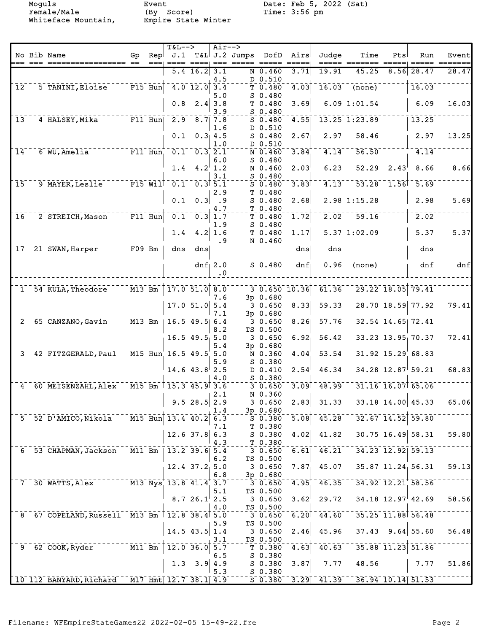Moguls Event Date: Feb 5, 2022 (Sat)<br>Female/Male (By Score) Time: 3:56 pm Female/Male (By Score) Time: 3:56 pm Whiteface Mountain, Empire State Winter

|                            |                                               |                     |           | $T&L-->$                                           |                                                         | $Air--$                   |                            |                                   |                      |                           |                     |                   |                       |       |
|----------------------------|-----------------------------------------------|---------------------|-----------|----------------------------------------------------|---------------------------------------------------------|---------------------------|----------------------------|-----------------------------------|----------------------|---------------------------|---------------------|-------------------|-----------------------|-------|
|                            | No Bib Name                                   | Gp                  |           |                                                    |                                                         |                           | Rep J.1 T&L J.2 Jumps DofD |                                   | Airs                 | Judgel                    | Time                | Pts               | Run                   | Event |
|                            |                                               |                     |           |                                                    |                                                         |                           |                            |                                   |                      |                           |                     |                   |                       |       |
|                            |                                               |                     |           |                                                    | $5.4$ 16.2 3.1                                          |                           |                            | $N$ 0.460                         | 3.71                 | 19.91                     | 45.25               |                   | $8.56$ 28.47          | 28.47 |
| $\overline{12}$            | 5 TANINI, Eloise                              | $F15$ Hun           |           | $-4.0$ 12.0 3.4                                    |                                                         | 4.5<br>5.0                |                            | D 0.510<br>T 0.480<br>$S$ 0.480   | 4.03                 | 16.03                     | $\overline{(none)}$ |                   | 16.03                 |       |
|                            |                                               |                     |           | 0.8                                                | $2.4$ 3.8                                               | 3.9                       |                            | T 0.480<br>$S$ 0.480              | 3.69                 |                           | $6.09 \mid 1:01.54$ |                   | 6.09                  | 16.03 |
| 13                         | 4 HALSEY, Mika                                | $F11$ Hun           |           | 2.9                                                | $8.7$ 7.8                                               | 1.6                       |                            | $S$ 0.480<br>D 0.510              | 4.55                 |                           | 13.25 1:23.89       |                   | 13.25                 |       |
|                            |                                               |                     |           | 0.1                                                |                                                         | 0.3, 4.5<br>1.0           |                            | $S$ 0.480<br>D 0.510              | 2.67 <sub>1</sub>    | 2.97 <sub>1</sub>         | 58.46               |                   | 2.97                  | 13.25 |
| $\overline{1}\overline{4}$ | 6 WU, Amelia                                  |                     | $F11$ Hun |                                                    | $\overline{0.1}^{-1} \overline{0.3}^{+} \overline{2.1}$ | 6.0                       |                            | $N$ 0.460<br>$S$ 0.480            | 3.84                 | 4.14                      | 56.50               |                   | 4.14                  |       |
|                            |                                               |                     |           | 1.4                                                |                                                         | $4.2^{\dagger}1.2$<br>3.1 |                            | N 0.460<br>$S$ 0.480              | 2.03                 | 6.23                      | 52.29               | 2.43              | 8.66                  | 8.66  |
| 15                         | 9 MAYER, Leslie                               | $FI5$ Will          |           | $\overline{0.1}$ $\overline{0.3}$ $\overline{5.1}$ |                                                         | 2.9                       |                            | $S$ 0.480<br>T 0.480              | 3.83                 | 4.13                      |                     | $53.28 - 1.56$    | 5.69                  |       |
|                            |                                               |                     |           | 0.1                                                |                                                         | $0.3$ .9<br>4.7           |                            | $S$ 0.480<br>T 0.480              | 2.68                 |                           | $2.98$ 1:15.28      |                   | 2.98                  | 5.69  |
| $\overline{1}\overline{6}$ | 2 STREICH, Mason                              | $F11$ Hun           |           | 0.1                                                |                                                         | $0.3$ 1.7<br>1.9          |                            | $T$ 0.480<br>$S$ 0.480            | 1.72                 | 2.02                      | 59.16               |                   | 2.02                  |       |
|                            |                                               |                     |           | 1.4                                                |                                                         | 4.2   1.6<br>.9           |                            | T0.480<br>N 0.460                 | 1.17                 |                           | $5.37 \mid 1:02.09$ |                   | 5.37                  | 5.37  |
| 17                         | 21 SWAN, Harper                               | $F09$ Bm            |           | dns                                                | dns                                                     |                           |                            |                                   | dns                  | dns                       |                     |                   | dns                   |       |
|                            |                                               |                     |           |                                                    |                                                         | $dnf_1 2.0$<br>$\cdot$ 0  |                            | $S$ 0.480                         | dnf                  | 0.96                      | (none)              |                   | dnf                   | dnf   |
|                            |                                               |                     |           |                                                    |                                                         |                           |                            |                                   |                      |                           |                     |                   |                       |       |
|                            | 54 KULA, Theodore                             | $\overline{M13}$ Bm |           |                                                    | $17.0$ 51.0 8.0                                         | 7.6                       |                            | 3p 0.680                          | $-3 - 0.650 - 10.36$ | 61.36                     |                     | 29.22 18.05 79.41 |                       |       |
|                            |                                               |                     |           |                                                    | $17.0$ 51.0 5.4                                         | 7.1                       |                            | 30.650<br>3p 0.680                | 8.33                 | 59.33                     |                     |                   | 28.70 18.59 77.92     | 79.41 |
| $\overline{2}$             | 65 CANZANO, Gavin                             | $\overline{M13}$ Bm |           |                                                    | $16.5$ 49.5 6.4                                         |                           |                            | 30.650                            | 8.26                 | 57.76                     |                     |                   | 32.54 14.65 72.41     |       |
|                            |                                               |                     |           |                                                    | $16.5$ 49.5 5.0                                         | 8.2<br>5.4                |                            | TS 0.500<br>30.650                | $6.92_1$             | 56.42                     |                     |                   | 33.23 13.95 70.37     | 72.41 |
| $\bar{3}$                  | 42 FITZGERALD, Paul                           |                     |           | M15 Hun 16.5 49.5 5.0                              |                                                         |                           |                            | 3p 0.680<br>N 0.360               | 4.04                 | $\overline{53.54}$        |                     |                   | $31.92$ $15.29$ 68.83 |       |
|                            |                                               |                     |           |                                                    | $14.6$ 43.8 2.5                                         | 5.9<br>4.0                |                            | $S$ 0.380<br>D 0.410<br>$S$ 0.380 | 2.54                 | 46.34                     |                     |                   | 34.28 12.87 59.21     | 68.83 |
| 4                          | 60 MEISENZAHL, Alex                           |                     |           | M15 Bm 115.3 45.9 3.6                              |                                                         | 2.1                       |                            | $3\overline{0.650}$<br>N 0.360    |                      | $3.09$ <sup>1</sup> 48.99 |                     |                   | 31.16 16.07 65.06     |       |
|                            |                                               |                     |           |                                                    | $9.5$ 28.5 2.9                                          | 1.4                       |                            | 30.650<br>3p 0.680                | 2.83                 | 31.33                     |                     |                   | 33.18 14.00 45.33     | 65.06 |
| $\overline{5}$             | 52 D'AMICO, Nikola                            |                     |           | M15 Hun 13.4 40.2                                  |                                                         | 6.3<br>7.1                |                            | $S$ 0.380<br>T 0.380              | $\overline{5.08}$    | 45.28                     |                     |                   | 32.67 14.52 59.80     |       |
|                            |                                               |                     |           |                                                    | $12.6$ 37.8 6.3                                         | 4.3                       |                            | S 0.380<br>T 0.380                | 4.02                 | 41.82                     |                     |                   | 30.75 16.49 58.31     | 59.80 |
| 6 <sub>1</sub>             | 53 CHAPMAN, Jackson                           | $M11$ Bm            |           |                                                    | $13.2$ 39.6 5.4                                         | 6.2                       |                            | $3\overline{0.650}$<br>TS 0.500   | 6.61                 | 46.21                     |                     |                   | 34.23 12.92 59.13     |       |
|                            |                                               |                     |           |                                                    | $12.4$ $37.2$ 5.0                                       | 6.8                       |                            | 30.650<br>3p 0.680                | 7.87                 | 45.07                     |                     |                   | 35.87 11.24 56.31     | 59.13 |
| 7                          | 30 WATTS, Alex                                |                     |           | M13 Nys 13.8 41.4 3.7                              |                                                         | 5.1                       |                            | 30.650<br>TS 0.500                | 4.95                 | 46.35                     |                     |                   | 34.92 12.21 58.56     |       |
|                            |                                               |                     |           |                                                    | 8.726.12.5                                              | 4.0                       |                            | 30.650<br>TS 0.500                | $3.62^{\dagger}$     | 29.72                     |                     |                   | $34.18$ 12.97 42.69   | 58.56 |
|                            | 8 67 COPELAND, Russell M13 Bm                 |                     |           | $12.8$ 38.4 5.0                                    |                                                         | 5.9                       |                            | 3 0.650<br>TS 0.500               |                      | $6.201 - 44.601$          |                     |                   | 35.25 11.88 56.48     |       |
|                            |                                               |                     |           |                                                    | $14.5$ 43.5 1.4                                         | 3.1                       |                            | 30.650<br>TS 0.500                | 2.46                 | 45.96                     | 37.43               |                   | $9.64$ 55.60          | 56.48 |
| ⊺9                         | 62 COOK, Ryder                                | $\overline{M11}$ Bm |           |                                                    | $\overline{12.0}$ 36.0 5.7                              | 6.5                       |                            | T 0.380<br>$S$ 0.380              | 4.63                 | 40.63                     |                     |                   | 35.88 11.23 51.86     |       |
|                            |                                               |                     |           | 1.3                                                | 3.9                                                     | 4.9<br>5.3                |                            | $S$ 0.380<br>S 0.380              | 3.87                 | 7.77                      | 48.56               |                   | 7.77                  | 51.86 |
|                            | 10 112 BANYARD, Richard M17 Hmt 12.7 38.1 4.9 |                     |           |                                                    |                                                         |                           |                            | $S$ 0.380                         |                      | $3.29$ $41.39$            | $36.94$ 10.14 51.53 |                   |                       |       |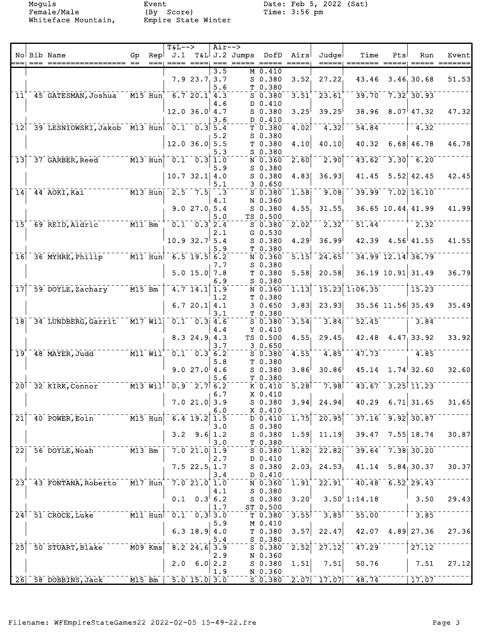Female/Male (By Score) Time: 3:56 pm Whiteface Mountain, Empire State Winter

Moguls Event Date: Feb 5, 2022 (Sat)<br>Female/Male (By Score) Time: 3:56 pm

|                 |                                                                                                                   |          |                                   | <b>T&amp;L--&gt;</b>    |                                                    | Air--> |                     |                    |                     |                      |                     |      |                            |       |
|-----------------|-------------------------------------------------------------------------------------------------------------------|----------|-----------------------------------|-------------------------|----------------------------------------------------|--------|---------------------|--------------------|---------------------|----------------------|---------------------|------|----------------------------|-------|
|                 | No Bib Name                                                                                                       | Gp       | Repl                              |                         |                                                    |        | $J.1$ T&L J.2 Jumps | DofD               | Airs                | Judgel               | Time                | Pts  | Run                        | Event |
|                 | === ==========<br>===== ==                                                                                        |          | $==$                              |                         |                                                    |        |                     |                    |                     | =====                |                     |      |                            |       |
|                 |                                                                                                                   |          |                                   |                         |                                                    | 3.5    |                     | $M_0.410$          |                     |                      |                     |      |                            |       |
|                 |                                                                                                                   |          |                                   |                         | 7.923.73.7                                         |        |                     | $S$ 0.380          | 3.52                | 27.22                | 43.46               |      | 3.46, 30.68                | 51.53 |
|                 |                                                                                                                   |          |                                   |                         |                                                    | 5.6    |                     | T 0.380            |                     |                      |                     |      |                            |       |
|                 | 11 45 GATESMAN, Joshua                                                                                            |          |                                   | $-M15$ Hun 6.7 20.1 4.3 |                                                    |        |                     | $5 - 0.380$        | $3.51$ <sup>+</sup> | 23.61                | 39.70               |      | $-7.32$ <sup>+</sup> 30.93 |       |
|                 |                                                                                                                   |          |                                   |                         |                                                    | 4.6    |                     | D 0.410            |                     |                      |                     |      |                            |       |
|                 |                                                                                                                   |          |                                   |                         | $12.0$ 36.0 4.7                                    |        |                     | $S$ 0.380          | 3.25                | 39.25                | 38.96               |      | $8.07$ <sup> </sup> 47.32  | 47.32 |
|                 |                                                                                                                   |          |                                   |                         |                                                    | 3.6    |                     | D 0.410            |                     |                      |                     |      |                            |       |
|                 | 12 39 LESNIOWSKI, Jakob M13 Hun 0.1 0.3 5.4                                                                       |          |                                   |                         |                                                    |        |                     | T 0.380            | 4.02                | 4.32                 | 54.84               |      | 4.32                       |       |
|                 |                                                                                                                   |          |                                   |                         |                                                    | 5.2    |                     | $S$ 0.380          |                     |                      |                     |      |                            |       |
|                 |                                                                                                                   |          |                                   |                         | $12.0$ 36.0 5.5                                    |        |                     | T <sub>0.380</sub> | 4.10                | 40.10                | 40.32               |      | $6.68$ 46.78               | 46.78 |
|                 |                                                                                                                   |          |                                   |                         |                                                    | 5.3    |                     | $S$ 0.380          |                     |                      |                     |      |                            |       |
| $\overline{1}3$ | 37 GARBER, Reed                                                                                                   |          | $\overline{M13}$ Hun              |                         | $\left[0.1 - 0.3\right]$                           | 1.0    |                     | N 0.360            | 2.60                | $\overline{2.90}$    | 43.62               | 3.30 | $-6.20$                    |       |
|                 |                                                                                                                   |          |                                   |                         |                                                    | 5.9    |                     | $S$ 0.380          |                     |                      |                     |      |                            |       |
|                 |                                                                                                                   |          |                                   |                         | $10.7$ 32.1 4.0                                    |        |                     | $S_0.380$          | 4.83                | 36.93                | 41.45               |      | $5.52$ 42.45               | 42.45 |
|                 |                                                                                                                   |          |                                   |                         |                                                    | 5.1    |                     | 30.650             |                     |                      |                     |      |                            |       |
| 14              | $\overline{M13}$ $\overline{Hun}$ $\overline{2.5}$ $\overline{7.5}$ $\overline{3}$ $\overline{3}$<br>44 AOKI, Kai |          |                                   |                         |                                                    |        |                     | $S$ 0.380          | 1.58                | 9.08                 |                     |      | $39.99 - 7.02 - 16.10$     |       |
|                 |                                                                                                                   |          |                                   |                         |                                                    | 4.1    |                     | N 0.360            |                     |                      |                     |      |                            |       |
|                 |                                                                                                                   |          |                                   |                         | 9.027.05.4                                         |        |                     | $S$ 0.380          | 4.55                | 31.55                |                     |      | 36.65 10.44 41.99          | 41.99 |
|                 |                                                                                                                   |          |                                   |                         |                                                    | 5.0    |                     | TS 0.500           |                     |                      |                     |      |                            |       |
| 15 <sup>′</sup> | 69 REID, Aidric                                                                                                   | $M11$ Bm |                                   |                         | $0.1 - 0.3$ <sup>2</sup> .4                        |        |                     | $S$ 0.380          | $2.02^+$            | $2.32^{\circ}$       | 51.44               |      | 2.32                       |       |
|                 |                                                                                                                   |          |                                   |                         |                                                    | 2.1    |                     | $G$ 0.530          |                     |                      |                     |      |                            |       |
|                 |                                                                                                                   |          |                                   |                         | $10.9$ 32.7 5.4                                    |        |                     | $S$ 0.380          | 4.29                | 36.99                |                     |      | $42.39$ $4.56$ $41.55$     | 41.55 |
|                 |                                                                                                                   |          |                                   |                         |                                                    | 5.9    |                     | T 0.380            |                     |                      |                     |      |                            |       |
|                 | $16$ <sup><math>-36</math></sup> MYHRE, Philip                                                                    |          | $\overline{M11}$ Hun              | $-6.5$ 19.5 6.2         |                                                    |        |                     | N 0.360            | $\overline{5.15}$   | $-24.65$             |                     |      | 34.99 12.14 36.79          |       |
|                 |                                                                                                                   |          |                                   |                         |                                                    | 7.7    |                     | $S$ 0.380          |                     |                      |                     |      |                            |       |
|                 |                                                                                                                   |          |                                   |                         | $5.0$ 15.0 7.8                                     |        |                     | T0.380             | 5.58                | 20.58                |                     |      | 36.19 10.91 31.49          | 36.79 |
|                 |                                                                                                                   |          |                                   |                         |                                                    | 6.9    |                     | $S$ 0.380          |                     |                      |                     |      |                            |       |
| $\overline{17}$ | 59 DOYLE, Zachary                                                                                                 | $M15$ Bm |                                   |                         | $4.7$ $14.1$ $1.9$                                 |        |                     | N 0.360            | 1.13                |                      | $15.23$ $1:06.35$   |      | 15.23                      |       |
|                 |                                                                                                                   |          |                                   |                         |                                                    | 1.2    |                     | T 0.380            |                     |                      |                     |      |                            |       |
|                 |                                                                                                                   |          |                                   |                         | 6.7 20.1 $4.1$                                     |        |                     | 30.650             | 3.83                | 23.93                |                     |      | 35.56 11.56 35.49          | 35.49 |
|                 |                                                                                                                   |          |                                   |                         |                                                    | 3.1    |                     |                    |                     |                      |                     |      |                            |       |
|                 | 18 34 LUNDBERG, Garrit                                                                                            |          | $\overline{M17}$ $\overline{W11}$ |                         | $\overline{0.1}$ $\overline{0.3}$ 4.6              |        |                     | T 0.380            | 3.54                | 3.84                 | 52.45               |      | 3.84                       |       |
|                 |                                                                                                                   |          |                                   |                         |                                                    |        |                     | $S$ 0.380          |                     |                      |                     |      |                            |       |
|                 |                                                                                                                   |          |                                   |                         |                                                    | 4.4    |                     | $Y$ 0.410          |                     |                      |                     |      |                            |       |
|                 |                                                                                                                   |          |                                   |                         | $8.3$ 24.9 4.3                                     |        |                     | TS 0.500           | 4.55                | 29.45                |                     |      | $42.48$ $4.47$ 33.92       | 33.92 |
|                 |                                                                                                                   |          |                                   |                         |                                                    | 3.7    |                     | 30.650             |                     |                      |                     |      |                            |       |
| $\overline{19}$ | 48 MAYER, Judd                                                                                                    |          | $\overline{M11}$ $\overline{W11}$ |                         | $\overline{0.1}$ $\overline{0.3}$ $\overline{6.2}$ |        |                     | $S$ 0.380          | 4.55                | $4.85$ <sup>T</sup>  | 47.73               |      | 4.85                       |       |
|                 |                                                                                                                   |          |                                   |                         |                                                    | 5.8    |                     | T 0.380            |                     |                      |                     |      |                            |       |
|                 |                                                                                                                   |          |                                   |                         | 9.027.04.6                                         |        |                     | $S$ 0.380          | 3.86                | 30.86                | 45.14               |      | $1.74^{+}32.60$            | 32.60 |
|                 |                                                                                                                   |          |                                   |                         |                                                    | 5.6    |                     | T 0.380            |                     |                      |                     |      |                            |       |
|                 | 20 <sup>1</sup> 32 KIRK, Connor                                                                                   |          |                                   | $1 - 7 - 2.7$ $6.2$     |                                                    |        |                     | $K$ 0.410          | 5.28                | 7.98                 |                     |      | $43.67 - 3.25$ 11.23       |       |
|                 |                                                                                                                   |          |                                   |                         |                                                    | 6.7    |                     | X 0.410            |                     |                      |                     |      |                            |       |
|                 |                                                                                                                   |          |                                   |                         | $7.0$ 21.0 3.9                                     |        |                     | $S$ 0.380          | 3.94                | 24.94                |                     |      | $40.29$ 6.71 31.65         | 31.65 |
|                 |                                                                                                                   |          |                                   |                         |                                                    | 6.0    |                     | $X_0.410$          |                     |                      |                     |      |                            |       |
| $\overline{21}$ | 40 POWER, Eoin                                                                                                    |          | $\overline{M15}$ Hun              |                         | $6.4$ 19.2                                         | 1.5    |                     | D 0.410            | $\overline{1.75}$   | $\overline{20.95}$   | 37.16               |      | $9.92$ $30.87$             |       |
|                 |                                                                                                                   |          |                                   |                         |                                                    | 3.0    |                     | $S$ 0.380          |                     |                      |                     |      |                            |       |
|                 |                                                                                                                   |          |                                   |                         | $3.2$ $9.6$                                        | 1.2    |                     | S 0.380            | 1.59                | 11.19                | 39.47               |      | $7.55$ 18.74               | 30.87 |
|                 |                                                                                                                   |          |                                   |                         |                                                    | 3.0    |                     | T 0.380            |                     |                      |                     |      |                            |       |
| 22              | 56 DOYLE, Noah                                                                                                    | M13 Bm   |                                   |                         | $7.0$ 21.0 1.9                                     |        |                     | S 0.380            | 1.82                | 22.82                | 39.64               |      | $7.38$ 30.20               |       |
|                 |                                                                                                                   |          |                                   |                         |                                                    | 2.7    |                     | D 0.410            |                     |                      |                     |      |                            |       |
|                 |                                                                                                                   |          |                                   |                         | 7.522.511.7                                        |        |                     | $S_0.380$          | 2.03                | 24.53                | 41.14               |      | 5.84, 30.37                | 30.37 |
|                 |                                                                                                                   |          |                                   |                         |                                                    | 3.4    |                     | D 0.410            |                     |                      |                     |      |                            |       |
| 23 <sub>1</sub> | 43 FONTANA, Roberto                                                                                               |          | M17 Hun                           |                         | $7.0$ 21.0 1.0                                     |        |                     | N 0.360            | 1.91                | $22.91$ <sup>*</sup> | $-40.48$ 6.52 29.43 |      |                            |       |
|                 |                                                                                                                   |          |                                   |                         |                                                    | 4.1    |                     | $S_0.380$          |                     |                      |                     |      |                            |       |
|                 |                                                                                                                   |          |                                   |                         | $0.1 \quad 0.3$ 6.2                                |        |                     | S 0.380            | 3.20 <sup>1</sup>   |                      | $3.50^{+}$ 1:14.18  |      | 3.50                       | 29.43 |
|                 |                                                                                                                   |          |                                   |                         |                                                    | 1.7    |                     | ST 0.500           |                     |                      |                     |      |                            |       |
|                 | 24 51 CROCE, Luke                                                                                                 |          | $M11$ Hun                         |                         | $\overline{0.1}$ $\overline{0.3}$ $\overline{3.0}$ |        |                     | T 0.380            | 3.55                | 3.85                 | 55.00               |      | 3.85                       |       |
|                 |                                                                                                                   |          |                                   |                         |                                                    | 5.9    |                     | M 0.410            |                     |                      |                     |      |                            |       |
|                 |                                                                                                                   |          |                                   |                         | $6.3$ 18.9 4.0                                     |        |                     | T <sub>0.380</sub> | 3.57                | 22.47                | 42.07               |      | $4.89$ 27.36               | 27.36 |
|                 |                                                                                                                   |          |                                   |                         |                                                    | 5.4    |                     | $S$ 0.380          |                     |                      |                     |      |                            |       |
| $\overline{25}$ | 50 STUART, Blake                                                                                                  |          | $M09$ Kms                         |                         | $8.2$ 24.6                                         | 3.9    |                     | $S_0.380$          | 2.52                | 27.12                | 47.29               |      | 27.12                      |       |
|                 |                                                                                                                   |          |                                   |                         |                                                    | 2.9    |                     | N 0.360            |                     |                      |                     |      |                            |       |
|                 |                                                                                                                   |          |                                   | 2.0                     | 6.0                                                | 2.2    |                     | $S$ 0.380          | 1.51                | 7.51                 | 50.76               |      | 7.51                       | 27.12 |
|                 |                                                                                                                   |          |                                   |                         |                                                    | 1.9    |                     | N 0.360            |                     |                      |                     |      |                            |       |
|                 | 26 58 DOBBINS, Jack                                                                                               | $M15$ Bm |                                   |                         | $5.0$ 15.0 3.0                                     |        |                     |                    |                     | $S$ 0.380 2.07 17.07 | $-48.74$            |      | 17.07                      |       |
|                 |                                                                                                                   |          |                                   |                         |                                                    |        |                     |                    |                     |                      |                     |      |                            |       |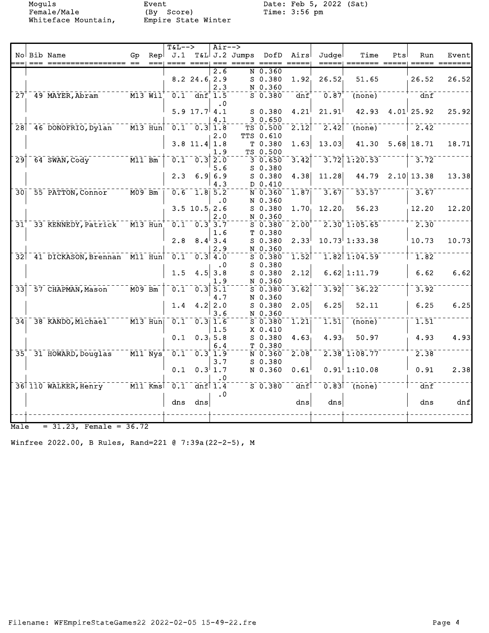Female/Male (By Score) Time: 3:56 pm Whiteface Mountain, Empire State Winter

Moguls Event Date: Feb 5, 2022 (Sat)

|                 |                                                 |                        | $T&L-->$                                           |                        | $Air--$    |                     |                   |                                       |                             |            |                   |       |
|-----------------|-------------------------------------------------|------------------------|----------------------------------------------------|------------------------|------------|---------------------|-------------------|---------------------------------------|-----------------------------|------------|-------------------|-------|
|                 | No Bib Name                                     | Gp.                    | ==== ====  === =                                   |                        |            |                     |                   | Rep J.1 T&L J.2 Jumps DofD Airs Judge | Time                        | <b>Pts</b> | Run               | Event |
|                 |                                                 |                        |                                                    |                        | 2.6        | $N$ 0.360           |                   |                                       |                             |            |                   |       |
|                 |                                                 |                        |                                                    | $8.2$ 24.6 2.9         |            | $S$ 0.380           | 1.92 <sub>1</sub> | 26.52                                 | 51.65                       |            | 26.52             | 26.52 |
|                 |                                                 |                        |                                                    |                        | 2.3        | N 0.360             |                   |                                       |                             |            |                   |       |
|                 | $27†$ 49 MAYER, Abram                           | $\bar{M}$ 13 $\bar{M}$ |                                                    | $0.1 - dnf$ 1.5        |            | $5 - 0.380$         | dnf               | 0.87                                  | $\overline{\text{(none)}}$  |            | $\overline{d}$ nf |       |
|                 |                                                 |                        |                                                    |                        | $\cdot$ 0  |                     |                   |                                       |                             |            |                   |       |
|                 |                                                 |                        |                                                    | 5.9 $17.7$ 4.1         |            | S 0.380             | 4.21              | 21.91                                 | $42.93$ $4.01$ 25.92        |            |                   | 25.92 |
|                 |                                                 |                        |                                                    |                        | 4.1        | 30.650              |                   |                                       |                             |            |                   |       |
|                 | 28 46 DONOFRIO, Dylan                           | $M13$ Hun              |                                                    | $0.1 - 0.3$ 1.8        |            | TS 0.500            | 2.12              | 2.42                                  | (none)                      |            | $-2.42$           |       |
|                 |                                                 |                        |                                                    |                        | 2.0        | TTS 0.610           |                   |                                       |                             |            |                   |       |
|                 |                                                 |                        |                                                    | $3.8$ 11.4 1.8         |            | T0.380              | 1.63              | 13.03                                 | 41.30                       |            | $5.68$ 18.71      | 18.71 |
|                 |                                                 |                        |                                                    |                        | 1.9        | TS 0.500            |                   |                                       |                             |            |                   |       |
| $\overline{29}$ | $-64$ SWAN, Cody                                | $ \overline{M11}$ Bm   |                                                    | $0.1 - 0.3$ 2.0        |            | $3\overline{0.650}$ | 3.42              |                                       | $3.72$ 1:20.53              |            | 3.72              |       |
|                 |                                                 |                        |                                                    |                        | 5.6        | S 0.380             |                   |                                       |                             |            |                   |       |
|                 |                                                 |                        |                                                    | $2.3$ 6.9 6.9          |            | $S$ 0.380           | 4.38              | 11.28                                 | 44.79 2.10 13.38            |            |                   | 13.38 |
|                 |                                                 |                        |                                                    |                        | 4.3        | D 0.410             |                   |                                       |                             |            |                   |       |
|                 | 30 55 PATTON, Connor M09 Bm                     |                        | $\overline{0.6}$ $\overline{1.8}$ $\overline{5.2}$ |                        |            | $N$ 0.360           | $\overline{1.87}$ | 3.67                                  | 53.57                       |            | $-3.67$           |       |
|                 |                                                 |                        |                                                    |                        | $\cdot$ .0 | N 0.360             |                   |                                       |                             |            |                   |       |
|                 |                                                 |                        |                                                    | $3.5$ 10.5 2.6         |            | $S$ 0.380           | $1.70_1$          | $12.20_1$                             | 56.23                       |            | 12.20             | 12.20 |
|                 |                                                 |                        |                                                    |                        | 2.0        | N 0.360             |                   |                                       |                             |            |                   |       |
|                 | 31 33 KENNEDY, Patrick M13 Hun 0.1 0.3 3.7      |                        |                                                    |                        |            | $S$ 0.380           | $2.00^{+}$        |                                       | $\frac{1}{2.30}$ 1:05.65    |            | $-2.30$           |       |
|                 |                                                 |                        |                                                    |                        | 1.6        | T 0.380             |                   |                                       |                             |            |                   |       |
|                 |                                                 |                        |                                                    | $2.8$ $8.4$ 3.4        |            | $S$ 0.380           | 2.33              |                                       | $10.73^{1}1:33.38$          |            | 10.73             | 10.73 |
|                 |                                                 |                        |                                                    |                        | 2.9        | N 0.360             |                   |                                       |                             |            |                   |       |
|                 | 32 41 DICKASON, Brennan M11 Hun                 |                        | $\overline{0.1}$ $\overline{0.3}$ $\overline{4.0}$ |                        |            | $S$ 0.380           | 1.52              |                                       | $1.82$ $1.04.59$            |            | $-1.82$           |       |
|                 |                                                 |                        |                                                    |                        | $\cdot$ 0  | $S$ 0.380           |                   |                                       |                             |            |                   |       |
|                 |                                                 |                        | 1.5                                                |                        | $4.5$ 3.8  | $S$ 0.380           | 2.12              |                                       | $6.62$ 1:11.79              |            | 6.62              | 6.62  |
|                 |                                                 |                        |                                                    |                        | 1.9        | N 0.360             |                   |                                       |                             |            |                   |       |
|                 | $33$ <sup><math>-57</math></sup> CHAPMAN, Mason | $ \overline{M09}$ Bm   |                                                    | $0.1 - 0.3$ 5.1        |            | $5 - 0.380$         | 3.62              | 3.92                                  | $\overline{56.22}^{-}$      |            | 3.92              |       |
|                 |                                                 |                        |                                                    |                        | 4.7        | N 0.360             |                   |                                       |                             |            |                   |       |
|                 |                                                 |                        |                                                    | 1.4 $4.2$ 2.0          |            | $S$ 0.380           | 2.05              | 6.25                                  | 52.11                       |            | 6.25              | 6.25  |
|                 |                                                 |                        |                                                    |                        | 3.6        | N 0.360             |                   |                                       |                             |            |                   |       |
|                 | 34 38 KANDO, Michael M13 Hun 0.1 0.3 1.6        |                        |                                                    |                        |            | $S$ 0.380           | 1.21              |                                       | $1.51$ (none)               |            | 1.51              |       |
|                 |                                                 |                        |                                                    |                        | 1.5        | $X$ 0.410           |                   |                                       |                             |            |                   |       |
|                 |                                                 |                        |                                                    | $0.1 \quad 0.3, 5.8$   |            | $S$ 0.380           | 4.63              | 4.93 <sub>1</sub>                     | 50.97                       |            | 4.93              | 4.93  |
|                 |                                                 |                        |                                                    |                        | 6.4        | T 0.380             |                   |                                       |                             |            |                   |       |
|                 | 35 31 HOWARD, Douglas M11 Nys 0.1 0.3 1.9       |                        |                                                    |                        |            | N 0.360             | 2.08              |                                       | 2.38'1:08.77                |            | 2.38              |       |
|                 |                                                 |                        |                                                    |                        | 3.7        | $S$ 0.380           |                   |                                       |                             |            |                   |       |
|                 |                                                 |                        |                                                    | $0.1 \quad 0.3 \, 1.7$ |            | N 0.360             | 0.61              |                                       | $0.91$ <sup> </sup> 1:10.08 |            | 0.91              | 2.38  |
|                 |                                                 |                        |                                                    |                        | $\cdot$ 0  |                     |                   |                                       |                             |            |                   |       |
|                 | 36 110 WALKER, Henry M11 Kms                    |                        | $0.1$ dnf $1.4$                                    |                        |            | $S = 0.380$ dnf     |                   |                                       | $0.83$ <sup>1</sup> (none)  |            | dnf               |       |
|                 |                                                 |                        |                                                    |                        | $\cdot$ 0  |                     |                   |                                       |                             |            |                   |       |
|                 |                                                 |                        |                                                    | dns dns                |            |                     | dns               | dns                                   |                             |            | dns               | dnf   |
|                 |                                                 |                        |                                                    |                        |            |                     |                   |                                       |                             |            |                   |       |
|                 |                                                 |                        |                                                    |                        |            |                     |                   |                                       |                             |            |                   |       |
| Male            | $= 31.23$ , Female = 36.72                      |                        |                                                    |                        |            |                     |                   |                                       |                             |            |                   |       |

Winfree 2022.00, B Rules, Rand=221 @ 7:39a(22-2-5), M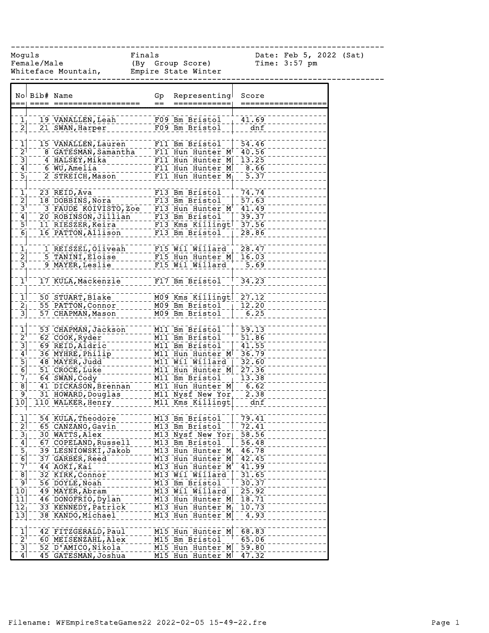------------------------------------------------------------------------------

Female/Male (By Group Score) Time: 3:57 pm Whiteface Mountain, Empire State Winter

Moguls Finals Date: Feb 5, 2022 (Sat)

|                                             | No Bib# Name |                                         | Gp<br>$=$ | Representing<br>============                                             | Score<br>========== |
|---------------------------------------------|--------------|-----------------------------------------|-----------|--------------------------------------------------------------------------|---------------------|
|                                             |              |                                         |           |                                                                          |                     |
|                                             |              | 19 VANALLEN, Leah                       |           | F09 Bm Bristol                                                           | 41.69               |
| $\frac{1}{2}$                               |              | 21 SWAN, Harper                         |           | F09 Bm Bristol                                                           | dnf                 |
|                                             |              |                                         |           |                                                                          |                     |
| $\mathbf{I}$<br>$\bar{2}$                   |              | 15 VANALLEN, Lauren                     |           | F11 Bm Bristol   54.46                                                   |                     |
| $\overline{3}$                              |              | 8 GATESMAN, Samantha<br>4 HALSEY, Mika  |           | F11 Hun Hunter M <sup>7</sup> 40.56<br>F11 Hun Hunter M 13.25            |                     |
| $\overline{4}$                              |              | $6$ WU, Amelia                          |           | F11 Hun Hunter M 3.66                                                    |                     |
| $\overline{5}$                              |              | 2 STREICH, Mason                        |           | F11 Hun Hunter $M_1$ 5.37                                                |                     |
|                                             |              |                                         |           |                                                                          |                     |
| $\frac{1}{2}$ $\frac{2}{3}$                 |              | 23 REID, Ava                            |           | F13 Bm Bristol                                                           | 74.74               |
|                                             |              | 18 DOBBINS, Nora                        |           | F13 Bm Bristol                                                           | 57.63               |
|                                             |              | 3 FAUDE KOIVISTO, Zoe F13 Hun Hunter M  |           |                                                                          | $-41.49$            |
| $\overline{4}$                              |              |                                         |           |                                                                          |                     |
| $\bar{5}$                                   |              | 11 RIESZER, Keira                       |           | $F13$ Kms Killingt 37.56                                                 |                     |
| $\overline{6}$                              |              | 16 PATTON, Allison                      |           | $\sqrt{F13}$ Bm Bristol $\sqrt{F13}$                                     | 28.86               |
|                                             |              | 1 REISZEL, Oliveah                      |           | $F15$ Wil Willard                                                        | 28.47               |
|                                             |              | 5 TANINI, Eloise                        |           | F15 Hun Hunter M                                                         | 16.03               |
| $\frac{1}{2}$<br>$\frac{2}{3}$              |              | 9 MAYER, Leslie                         |           | F15 Wil Willard                                                          | 5.69                |
|                                             |              |                                         |           |                                                                          |                     |
| $\overline{1}$                              |              | 17 KULA, Mackenzie                      |           | F17 Bm Bristol                                                           | $1 - 34.23$         |
|                                             |              |                                         |           |                                                                          |                     |
| $\overline{1}$                              |              | 50 STUART, Blake                        |           | M09 Kms Killingt 27.12                                                   |                     |
| $\overline{2}$ $\overline{1}$               |              | 55 PATTON, Connor                       |           | M09 Bm Bristol                                                           | 12.20               |
| $\overline{3}$                              |              | 57 CHAPMAN, Mason                       |           | M09 Bm Bristol                                                           | 6.25                |
| $\mathbf{1}^{\dagger}$                      |              | 53 CHAPMAN, Jackson                     |           | M11 Bm Bristol                                                           | $-59.13$            |
| $\bar{2}^+$                                 |              | 62 COOK, Ryder                          |           | M11 Bm Bristol                                                           | 51.86               |
| $\frac{3}{4}$                               |              | 69 REID, Aidric                         |           | M11 Bm Bristol                                                           | 41.55               |
|                                             |              | 36 MYHRE, Philip                        |           | M11 Hun Hunter M <sup>1</sup> 36.79                                      |                     |
| $\begin{bmatrix} 5 \\ 6 \\ 7 \end{bmatrix}$ |              | 48 MAYER, Judd                          |           | M11 Wil Willard                                                          | 32.60               |
|                                             |              | 51 CROCE, Luke                          |           | M11 Hun Hunter M 27.36                                                   |                     |
|                                             |              | 64 SWAN, Cody                           |           | M11 Bm Bristol                                                           | 13.38               |
| $\overline{8}$<br>ِ وَ                      |              | 41 DICKASON, Brennan                    |           | M11 Hun Hunter M                                                         | $-6.62$             |
| $\overline{10}$                             |              | 31 HOWARD, Douglas<br>110 WALKER, Henry |           | M11 Nysf New Yor<br>M11 Kms Killingt                                     | 2.38<br>dnf         |
|                                             |              |                                         |           |                                                                          |                     |
| ֝ <u>֚֓</u> ׀֑֦֦֦֦֦֦֦֦֦֞                    |              | 54 KULA, Theodore                       |           | M13 Bm Bristol                                                           | 79.41               |
| $\overline{2}$                              |              | 65 CANZANO, Gavin                       |           | M13 Bm Bristol                                                           | 72.41               |
| $\frac{3}{1}$                               |              | $30$ WATTS, Alex <sup>--</sup>          |           | M13 Nysf New Yor                                                         | $\overline{58.56}$  |
| $\overline{4}$                              |              | 67 COPELAND, Russell                    |           | M13 Bm Bristol                                                           | 56.48               |
|                                             |              | 39 LESNIOWSKI, Jakob                    |           | M13 Hun Hunter M                                                         | 46.78               |
| $\frac{5}{7}$                               |              | 37 GARBER, Reed                         |           | M13 Hun Hunter M                                                         | 42.45               |
|                                             |              | 44 AOKI, Kai                            |           | M13 Hun Hunter M                                                         | 41.99               |
| $\overline{8}$<br>⊺و⊺                       |              | 32 KIRK, Connor                         |           | $\overline{M13}$ $\overline{W11}$ $\overline{W11}$ ard<br>M13 Bm Bristol | 31.65<br>30.37      |
| 10                                          |              | 56 DOYLE, Noah<br>49 MAYER, Abram       |           | M13 Wil Willard                                                          | 25.92               |
| 11                                          |              | 46 DONOFRIO, Dylan                      |           | M13 Hun Hunter M                                                         | 18.71               |
| $\overline{12}$                             |              | 33 KENNEDY, Patrick                     |           | $\overline{M13}$ Hun Hunter M                                            | 10.73               |
| $\overline{13}$                             |              | 38 KANDO, Michael                       |           | $\overline{M13}$ Hun Hunter $\overline{M}$                               | 4.93                |
|                                             |              |                                         |           |                                                                          |                     |
| $\mathbf{\bar{1}}$                          |              | 42 FITZGERALD, Paul                     |           | M15 Hun Hunter M                                                         | 68.83               |
| $\bar{2}^{\dagger}$                         |              | 60 MEISENZAHL, Alex                     |           | M15 Bm Bristol                                                           | 65.06               |
| $\overline{3}$                              |              | 52 D'AMICO, Nikola                      |           | M15 Hun Hunter M                                                         | 59.80               |
| 4                                           |              | 45 GATESMAN, Joshua                     |           | M15 Hun Hunter M                                                         | 47.32               |